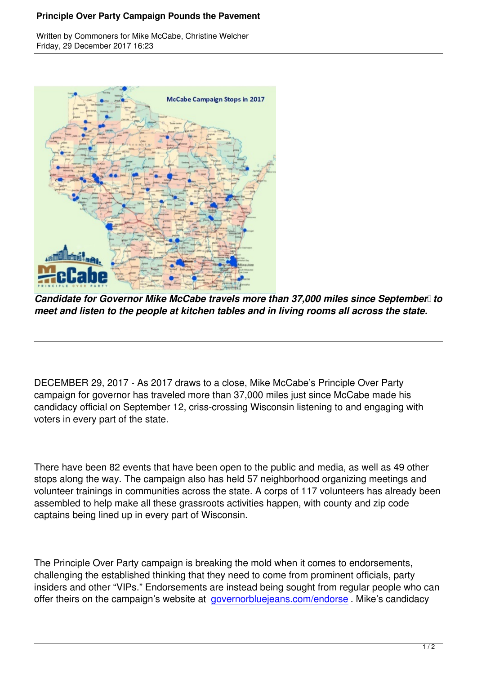

Written by Common extensive McCabe, Christian McCabe, Christian McCabe, Christian McCabe, Christian McCabe, Ch

*Candidate for Governor Mike McCabe travels more than 37,000 miles since September* to *meet and listen to the people at kitchen tables and in living rooms all across the state.*

DECEMBER 29, 2017 - As 2017 draws to a close, Mike McCabe's Principle Over Party campaign for governor has traveled more than 37,000 miles just since McCabe made his candidacy official on September 12, criss-crossing Wisconsin listening to and engaging with voters in every part of the state.

There have been 82 events that have been open to the public and media, as well as 49 other stops along the way. The campaign also has held 57 neighborhood organizing meetings and volunteer trainings in communities across the state. A corps of 117 volunteers has already been assembled to help make all these grassroots activities happen, with county and zip code captains being lined up in every part of Wisconsin.

The Principle Over Party campaign is breaking the mold when it comes to endorsements, challenging the established thinking that they need to come from prominent officials, party insiders and other "VIPs." Endorsements are instead being sought from regular people who can offer theirs on the campaign's website at governorbluejeans.com/endorse . Mike's candidacy